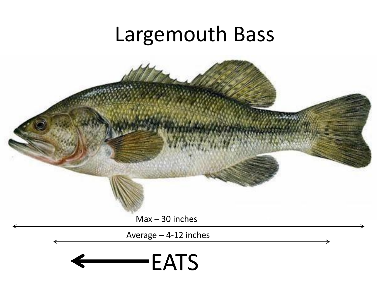# Largemouth Bass

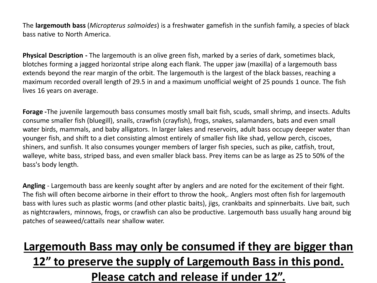The **largemouth bass** (*Micropterus salmoides*) is a freshwater gamefish in the sunfish family, a species of black bass native to North America.

**Physical Description -** The largemouth is an olive green fish, marked by a series of dark, sometimes black, blotches forming a jagged horizontal stripe along each flank. The upper jaw (maxilla) of a largemouth bass extends beyond the rear margin of the orbit. The largemouth is the largest of the black basses, reaching a maximum recorded overall length of 29.5 in and a maximum unofficial weight of 25 pounds 1 ounce. The fish lives 16 years on average.

**Forage -**The juvenile largemouth bass consumes mostly small bait fish, scuds, small shrimp, and insects. Adults consume smaller fish (bluegill), snails, crawfish (crayfish), frogs, snakes, salamanders, bats and even small water birds, mammals, and baby alligators. In larger lakes and reservoirs, adult bass occupy deeper water than younger fish, and shift to a diet consisting almost entirely of smaller fish like shad, yellow perch, ciscoes, shiners, and sunfish. It also consumes younger members of larger fish species, such as pike, catfish, trout, walleye, white bass, striped bass, and even smaller black bass. Prey items can be as large as 25 to 50% of the bass's body length.

**Angling** - Largemouth bass are keenly sought after by anglers and are noted for the excitement of their fight. The fish will often become airborne in their effort to throw the hook,. Anglers most often fish for largemouth bass with lures such as plastic worms (and other plastic baits), jigs, crankbaits and spinnerbaits. Live bait, such as nightcrawlers, minnows, frogs, or crawfish can also be productive. Largemouth bass usually hang around big patches of seaweed/cattails near shallow water.

### **Largemouth Bass may only be consumed if they are bigger than 12" to preserve the supply of Largemouth Bass in this pond. Please catch and release if under 12".**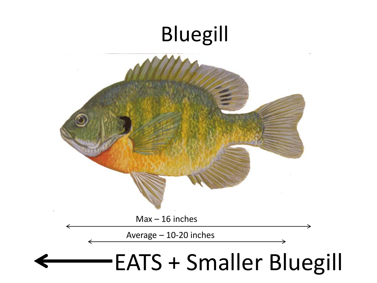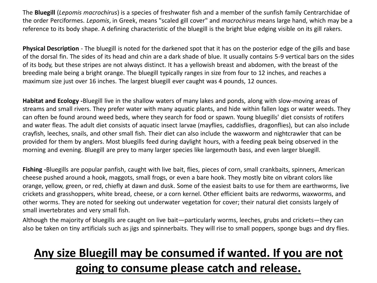The **Bluegill** (*Lepomis macrochirus*) is a species of freshwater fish and a member of the sunfish family Centrarchidae of the order Perciformes. *Lepomis*, in Greek, means "scaled gill cover" and *macrochirus* means large hand, which may be a reference to its body shape. A defining characteristic of the bluegill is the bright blue edging visible on its gill rakers.

**Physical Description** - The bluegill is noted for the darkened spot that it has on the posterior edge of the gills and base of the dorsal fin. The sides of its head and chin are a dark shade of blue. It usually contains 5-9 vertical bars on the sides of its body, but these stripes are not always distinct. It has a yellowish breast and abdomen, with the breast of the breeding male being a bright orange. The bluegill typically ranges in size from four to 12 inches, and reaches a maximum size just over 16 inches. The largest bluegill ever caught was 4 pounds, 12 ounces.

**Habitat and Ecology -**Bluegill live in the shallow waters of many lakes and ponds, along with slow-moving areas of streams and small rivers. They prefer water with many aquatic plants, and hide within fallen logs or water weeds. They can often be found around weed beds, where they search for food or spawn. Young bluegills' diet consists of rotifers and water fleas. The adult diet consists of aquatic insect larvae (mayflies, caddisflies, dragonflies), but can also include crayfish, leeches, snails, and other small fish. Their diet can also include the waxworm and nightcrawler that can be provided for them by anglers. Most bluegills feed during daylight hours, with a feeding peak being observed in the morning and evening. Bluegill are prey to many larger species like largemouth bass, and even larger bluegill.

**Fishing -**Bluegills are popular panfish, caught with live bait, flies, pieces of corn, small crankbaits, spinners, American cheese pushed around a hook, maggots, small frogs, or even a bare hook. They mostly bite on vibrant colors like orange, yellow, green, or red, chiefly at dawn and dusk. Some of the easiest baits to use for them are earthworms, live crickets and grasshoppers, white bread, cheese, or a corn kernel. Other efficient baits are redworms, waxworms, and other worms. They are noted for seeking out underwater vegetation for cover; their natural diet consists largely of small invertebrates and very small fish.

Although the majority of bluegills are caught on live bait—particularly worms, leeches, grubs and crickets—they can also be taken on tiny artificials such as jigs and spinnerbaits. They will rise to small poppers, sponge bugs and dry flies.

## **Any size Bluegill may be consumed if wanted. If you are not going to consume please catch and release.**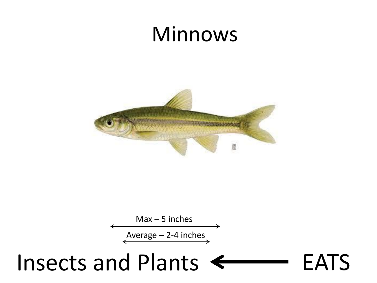## Minnows





# Insects and Plants <>> **EATS**